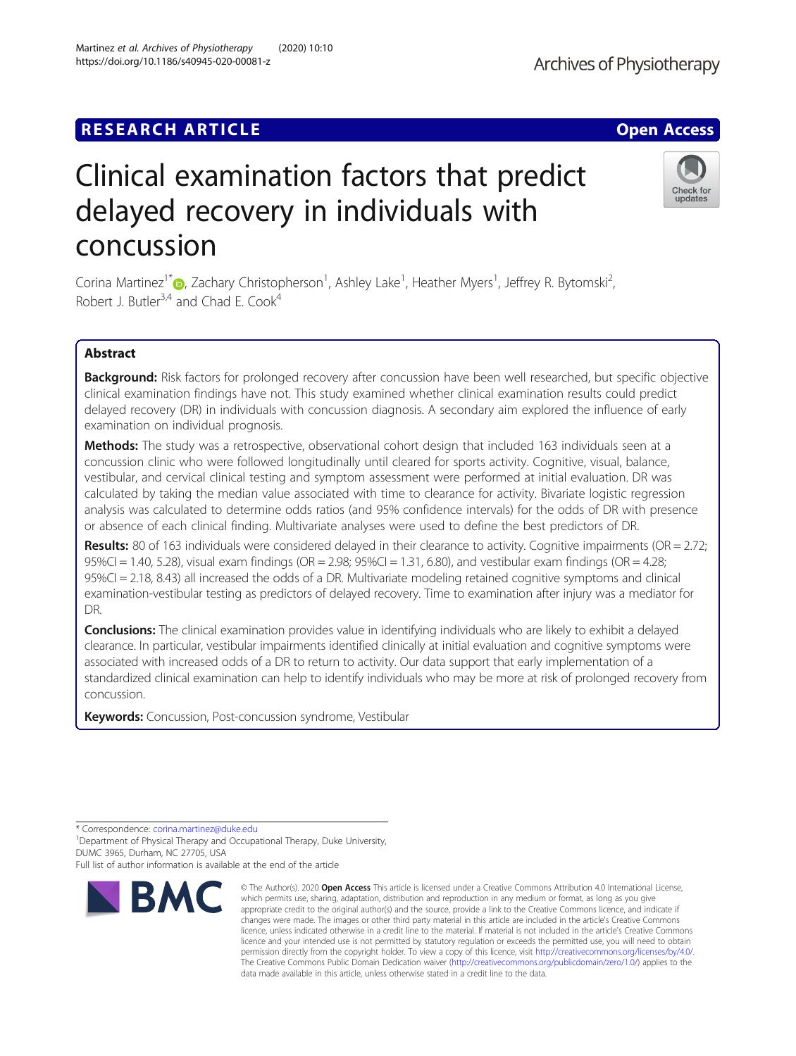# **RESEARCH ARTICLE Example 2014 12:30 The Contract of Contract ACCESS**

# Clinical examination factors that predict delayed recovery in individuals with concussion

Corina Martinez<sup>1[\\*](http://orcid.org/0000-0002-4903-1241)</sup> (**b**, Zachary Christopherson<sup>1</sup>, Ashley Lake<sup>1</sup>, Heather Myers<sup>1</sup>, Jeffrey R. Bytomski<sup>2</sup> , Robert J. Butler<sup>3,4</sup> and Chad E. Cook<sup>4</sup>

# Abstract

Background: Risk factors for prolonged recovery after concussion have been well researched, but specific objective clinical examination findings have not. This study examined whether clinical examination results could predict delayed recovery (DR) in individuals with concussion diagnosis. A secondary aim explored the influence of early examination on individual prognosis.

Methods: The study was a retrospective, observational cohort design that included 163 individuals seen at a concussion clinic who were followed longitudinally until cleared for sports activity. Cognitive, visual, balance, vestibular, and cervical clinical testing and symptom assessment were performed at initial evaluation. DR was calculated by taking the median value associated with time to clearance for activity. Bivariate logistic regression analysis was calculated to determine odds ratios (and 95% confidence intervals) for the odds of DR with presence or absence of each clinical finding. Multivariate analyses were used to define the best predictors of DR.

Results: 80 of 163 individuals were considered delayed in their clearance to activity. Cognitive impairments (OR = 2.72; 95%CI = 1.40, 5.28), visual exam findings (OR = 2.98; 95%CI = 1.31, 6.80), and vestibular exam findings (OR = 4.28; 95%CI = 2.18, 8.43) all increased the odds of a DR. Multivariate modeling retained cognitive symptoms and clinical examination-vestibular testing as predictors of delayed recovery. Time to examination after injury was a mediator for DR.

**Conclusions:** The clinical examination provides value in identifying individuals who are likely to exhibit a delayed clearance. In particular, vestibular impairments identified clinically at initial evaluation and cognitive symptoms were associated with increased odds of a DR to return to activity. Our data support that early implementation of a standardized clinical examination can help to identify individuals who may be more at risk of prolonged recovery from concussion.

Keywords: Concussion, Post-concussion syndrome, Vestibular

**BMC** 

<sup>1</sup> Department of Physical Therapy and Occupational Therapy, Duke University, DUMC 3965, Durham, NC 27705, USA

© The Author(s), 2020 **Open Access** This article is licensed under a Creative Commons Attribution 4.0 International License, which permits use, sharing, adaptation, distribution and reproduction in any medium or format, as long as you give







<sup>\*</sup> Correspondence: [corina.martinez@duke.edu](mailto:corina.martinez@duke.edu) <sup>1</sup>

Full list of author information is available at the end of the article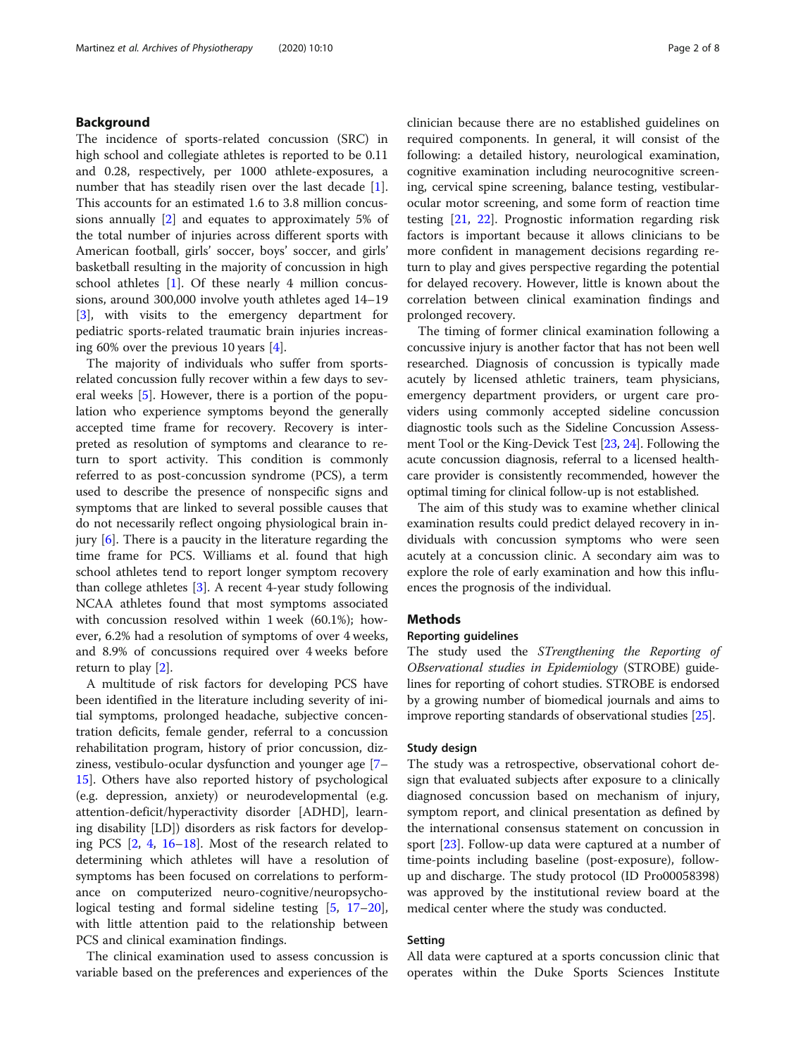# Background

The incidence of sports-related concussion (SRC) in high school and collegiate athletes is reported to be 0.11 and 0.28, respectively, per 1000 athlete-exposures, a number that has steadily risen over the last decade [\[1](#page-6-0)]. This accounts for an estimated 1.6 to 3.8 million concussions annually [[2\]](#page-6-0) and equates to approximately 5% of the total number of injuries across different sports with American football, girls' soccer, boys' soccer, and girls' basketball resulting in the majority of concussion in high school athletes [[1](#page-6-0)]. Of these nearly 4 million concussions, around 300,000 involve youth athletes aged 14–19 [[3\]](#page-6-0), with visits to the emergency department for pediatric sports-related traumatic brain injuries increasing 60% over the previous 10 years [\[4](#page-6-0)].

The majority of individuals who suffer from sportsrelated concussion fully recover within a few days to several weeks [\[5](#page-6-0)]. However, there is a portion of the population who experience symptoms beyond the generally accepted time frame for recovery. Recovery is interpreted as resolution of symptoms and clearance to return to sport activity. This condition is commonly referred to as post-concussion syndrome (PCS), a term used to describe the presence of nonspecific signs and symptoms that are linked to several possible causes that do not necessarily reflect ongoing physiological brain injury [[6\]](#page-6-0). There is a paucity in the literature regarding the time frame for PCS. Williams et al. found that high school athletes tend to report longer symptom recovery than college athletes [[3\]](#page-6-0). A recent 4-year study following NCAA athletes found that most symptoms associated with concussion resolved within 1 week (60.1%); however, 6.2% had a resolution of symptoms of over 4 weeks, and 8.9% of concussions required over 4 weeks before return to play [\[2](#page-6-0)].

A multitude of risk factors for developing PCS have been identified in the literature including severity of initial symptoms, prolonged headache, subjective concentration deficits, female gender, referral to a concussion rehabilitation program, history of prior concussion, dizziness, vestibulo-ocular dysfunction and younger age [[7](#page-6-0)– [15\]](#page-6-0). Others have also reported history of psychological (e.g. depression, anxiety) or neurodevelopmental (e.g. attention-deficit/hyperactivity disorder [ADHD], learning disability [LD]) disorders as risk factors for developing PCS [\[2](#page-6-0), [4,](#page-6-0) [16](#page-6-0)–[18\]](#page-6-0). Most of the research related to determining which athletes will have a resolution of symptoms has been focused on correlations to performance on computerized neuro-cognitive/neuropsychological testing and formal sideline testing [[5,](#page-6-0) [17](#page-6-0)–[20](#page-6-0)], with little attention paid to the relationship between PCS and clinical examination findings.

The clinical examination used to assess concussion is variable based on the preferences and experiences of the clinician because there are no established guidelines on required components. In general, it will consist of the following: a detailed history, neurological examination, cognitive examination including neurocognitive screening, cervical spine screening, balance testing, vestibularocular motor screening, and some form of reaction time testing [\[21](#page-6-0), [22](#page-6-0)]. Prognostic information regarding risk factors is important because it allows clinicians to be more confident in management decisions regarding return to play and gives perspective regarding the potential for delayed recovery. However, little is known about the correlation between clinical examination findings and prolonged recovery.

The timing of former clinical examination following a concussive injury is another factor that has not been well researched. Diagnosis of concussion is typically made acutely by licensed athletic trainers, team physicians, emergency department providers, or urgent care providers using commonly accepted sideline concussion diagnostic tools such as the Sideline Concussion Assessment Tool or the King-Devick Test [\[23,](#page-6-0) [24](#page-6-0)]. Following the acute concussion diagnosis, referral to a licensed healthcare provider is consistently recommended, however the optimal timing for clinical follow-up is not established.

The aim of this study was to examine whether clinical examination results could predict delayed recovery in individuals with concussion symptoms who were seen acutely at a concussion clinic. A secondary aim was to explore the role of early examination and how this influences the prognosis of the individual.

# Methods

# Reporting guidelines

The study used the STrengthening the Reporting of OBservational studies in Epidemiology (STROBE) guidelines for reporting of cohort studies. STROBE is endorsed by a growing number of biomedical journals and aims to improve reporting standards of observational studies [\[25](#page-6-0)].

# Study design

The study was a retrospective, observational cohort design that evaluated subjects after exposure to a clinically diagnosed concussion based on mechanism of injury, symptom report, and clinical presentation as defined by the international consensus statement on concussion in sport [\[23\]](#page-6-0). Follow-up data were captured at a number of time-points including baseline (post-exposure), followup and discharge. The study protocol (ID Pro00058398) was approved by the institutional review board at the medical center where the study was conducted.

# Setting

All data were captured at a sports concussion clinic that operates within the Duke Sports Sciences Institute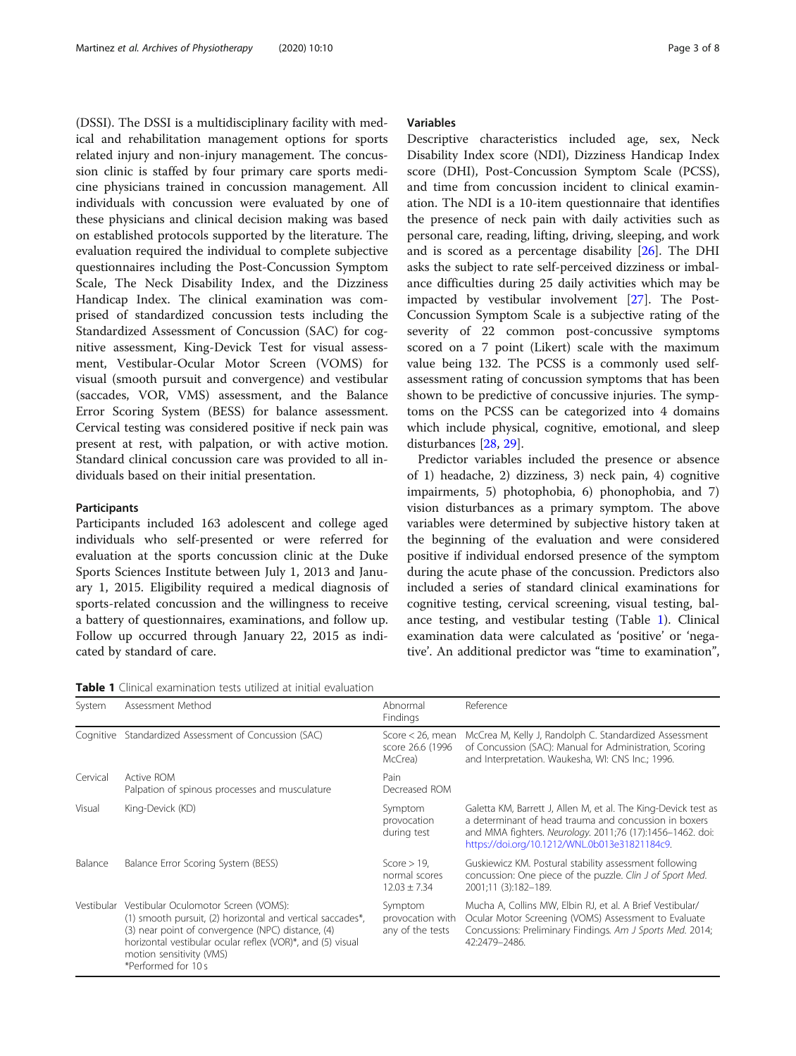(DSSI). The DSSI is a multidisciplinary facility with medical and rehabilitation management options for sports related injury and non-injury management. The concussion clinic is staffed by four primary care sports medicine physicians trained in concussion management. All individuals with concussion were evaluated by one of these physicians and clinical decision making was based on established protocols supported by the literature. The evaluation required the individual to complete subjective questionnaires including the Post-Concussion Symptom Scale, The Neck Disability Index, and the Dizziness Handicap Index. The clinical examination was comprised of standardized concussion tests including the Standardized Assessment of Concussion (SAC) for cognitive assessment, King-Devick Test for visual assessment, Vestibular-Ocular Motor Screen (VOMS) for visual (smooth pursuit and convergence) and vestibular (saccades, VOR, VMS) assessment, and the Balance Error Scoring System (BESS) for balance assessment. Cervical testing was considered positive if neck pain was present at rest, with palpation, or with active motion. Standard clinical concussion care was provided to all individuals based on their initial presentation.

# **Participants**

Participants included 163 adolescent and college aged individuals who self-presented or were referred for evaluation at the sports concussion clinic at the Duke Sports Sciences Institute between July 1, 2013 and January 1, 2015. Eligibility required a medical diagnosis of sports-related concussion and the willingness to receive a battery of questionnaires, examinations, and follow up. Follow up occurred through January 22, 2015 as indicated by standard of care.

Table 1 Clinical examination tests utilized at initial evaluation

| System    | Assessment Method                                                                                                                                                                                                                                                                   | Abnormal<br>Findings                                | Reference                                                                                                                                                                                                                             |
|-----------|-------------------------------------------------------------------------------------------------------------------------------------------------------------------------------------------------------------------------------------------------------------------------------------|-----------------------------------------------------|---------------------------------------------------------------------------------------------------------------------------------------------------------------------------------------------------------------------------------------|
| Cognitive | Standardized Assessment of Concussion (SAC)                                                                                                                                                                                                                                         | Score $<$ 26, mean<br>score 26.6 (1996<br>McCrea)   | McCrea M, Kelly J, Randolph C. Standardized Assessment<br>of Concussion (SAC): Manual for Administration, Scoring<br>and Interpretation. Waukesha, WI: CNS Inc.; 1996.                                                                |
| Cervical  | Active ROM<br>Palpation of spinous processes and musculature                                                                                                                                                                                                                        | Pain<br>Decreased ROM                               |                                                                                                                                                                                                                                       |
| Visual    | King-Devick (KD)                                                                                                                                                                                                                                                                    | Symptom<br>provocation<br>during test               | Galetta KM, Barrett J, Allen M, et al. The King-Devick test as<br>a determinant of head trauma and concussion in boxers<br>and MMA fighters. Neurology. 2011;76 (17):1456-1462. doi:<br>https://doi.org/10.1212/WNL.0b013e31821184c9. |
| Balance   | Balance Error Scoring System (BESS)                                                                                                                                                                                                                                                 | $Score > 19$ .<br>normal scores<br>$12.03 \pm 7.34$ | Guskiewicz KM. Postural stability assessment following<br>concussion: One piece of the puzzle. Clin J of Sport Med.<br>2001;11 (3):182-189.                                                                                           |
|           | Vestibular Vestibular Oculomotor Screen (VOMS):<br>(1) smooth pursuit, (2) horizontal and vertical saccades*,<br>(3) near point of convergence (NPC) distance, (4)<br>horizontal vestibular ocular reflex (VOR)*, and (5) visual<br>motion sensitivity (VMS)<br>*Performed for 10 s | Symptom<br>provocation with<br>any of the tests     | Mucha A, Collins MW, Elbin RJ, et al. A Brief Vestibular/<br>Ocular Motor Screening (VOMS) Assessment to Evaluate<br>Concussions: Preliminary Findings. Am J Sports Med. 2014;<br>42:2479-2486.                                       |

# Variables

Descriptive characteristics included age, sex, Neck Disability Index score (NDI), Dizziness Handicap Index score (DHI), Post-Concussion Symptom Scale (PCSS), and time from concussion incident to clinical examination. The NDI is a 10-item questionnaire that identifies the presence of neck pain with daily activities such as personal care, reading, lifting, driving, sleeping, and work and is scored as a percentage disability  $[26]$  $[26]$ . The DHI asks the subject to rate self-perceived dizziness or imbalance difficulties during 25 daily activities which may be impacted by vestibular involvement [\[27](#page-7-0)]. The Post-Concussion Symptom Scale is a subjective rating of the severity of 22 common post-concussive symptoms scored on a 7 point (Likert) scale with the maximum value being 132. The PCSS is a commonly used selfassessment rating of concussion symptoms that has been shown to be predictive of concussive injuries. The symptoms on the PCSS can be categorized into 4 domains which include physical, cognitive, emotional, and sleep disturbances [\[28,](#page-7-0) [29\]](#page-7-0).

Predictor variables included the presence or absence of 1) headache, 2) dizziness, 3) neck pain, 4) cognitive impairments, 5) photophobia, 6) phonophobia, and 7) vision disturbances as a primary symptom. The above variables were determined by subjective history taken at the beginning of the evaluation and were considered positive if individual endorsed presence of the symptom during the acute phase of the concussion. Predictors also included a series of standard clinical examinations for cognitive testing, cervical screening, visual testing, balance testing, and vestibular testing (Table 1). Clinical examination data were calculated as 'positive' or 'negative'. An additional predictor was "time to examination",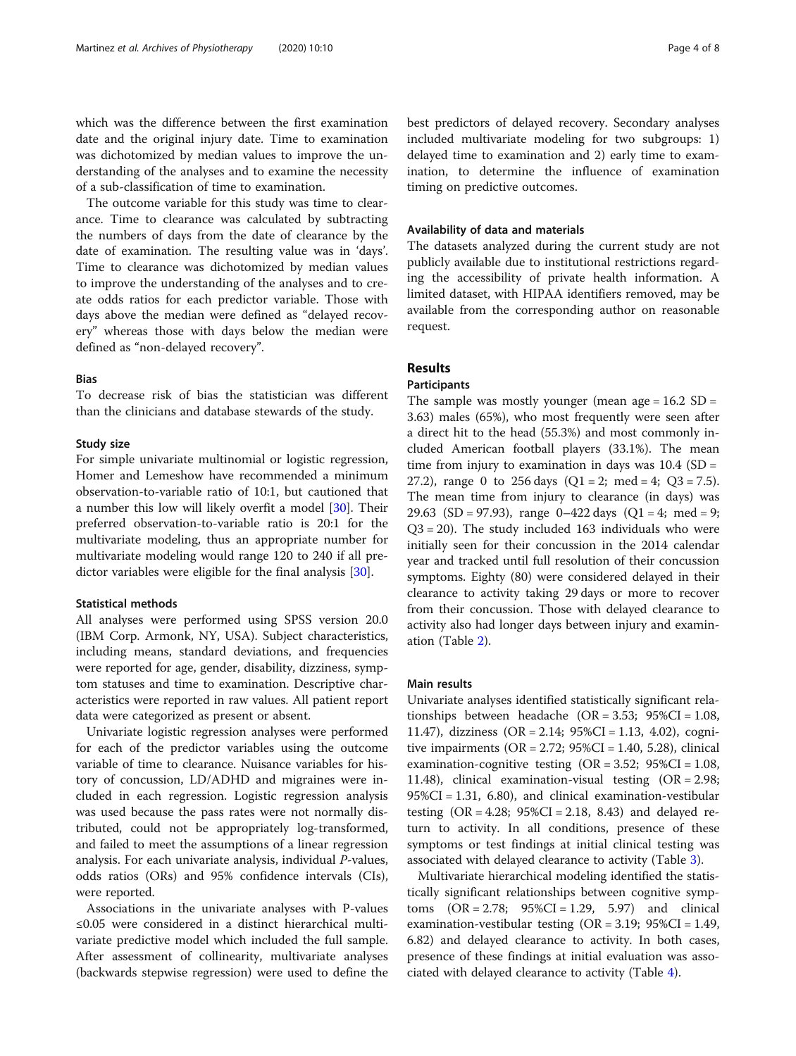which was the difference between the first examination date and the original injury date. Time to examination was dichotomized by median values to improve the understanding of the analyses and to examine the necessity of a sub-classification of time to examination.

The outcome variable for this study was time to clearance. Time to clearance was calculated by subtracting the numbers of days from the date of clearance by the date of examination. The resulting value was in 'days'. Time to clearance was dichotomized by median values to improve the understanding of the analyses and to create odds ratios for each predictor variable. Those with days above the median were defined as "delayed recovery" whereas those with days below the median were defined as "non-delayed recovery".

# Bias

To decrease risk of bias the statistician was different than the clinicians and database stewards of the study.

# Study size

For simple univariate multinomial or logistic regression, Homer and Lemeshow have recommended a minimum observation-to-variable ratio of 10:1, but cautioned that a number this low will likely overfit a model [\[30](#page-7-0)]. Their preferred observation-to-variable ratio is 20:1 for the multivariate modeling, thus an appropriate number for multivariate modeling would range 120 to 240 if all predictor variables were eligible for the final analysis [[30\]](#page-7-0).

# Statistical methods

All analyses were performed using SPSS version 20.0 (IBM Corp. Armonk, NY, USA). Subject characteristics, including means, standard deviations, and frequencies were reported for age, gender, disability, dizziness, symptom statuses and time to examination. Descriptive characteristics were reported in raw values. All patient report data were categorized as present or absent.

Univariate logistic regression analyses were performed for each of the predictor variables using the outcome variable of time to clearance. Nuisance variables for history of concussion, LD/ADHD and migraines were included in each regression. Logistic regression analysis was used because the pass rates were not normally distributed, could not be appropriately log-transformed, and failed to meet the assumptions of a linear regression analysis. For each univariate analysis, individual P-values, odds ratios (ORs) and 95% confidence intervals (CIs), were reported.

Associations in the univariate analyses with P-values ≤0.05 were considered in a distinct hierarchical multivariate predictive model which included the full sample. After assessment of collinearity, multivariate analyses (backwards stepwise regression) were used to define the best predictors of delayed recovery. Secondary analyses included multivariate modeling for two subgroups: 1) delayed time to examination and 2) early time to examination, to determine the influence of examination timing on predictive outcomes.

# Availability of data and materials

The datasets analyzed during the current study are not publicly available due to institutional restrictions regarding the accessibility of private health information. A limited dataset, with HIPAA identifiers removed, may be available from the corresponding author on reasonable request.

# Results

# Participants

The sample was mostly younger (mean age  $= 16.2$  SD  $=$ 3.63) males (65%), who most frequently were seen after a direct hit to the head (55.3%) and most commonly included American football players (33.1%). The mean time from injury to examination in days was  $10.4$  (SD = 27.2), range 0 to 256 days  $(Q1 = 2; \text{ med } = 4; Q3 = 7.5)$ . The mean time from injury to clearance (in days) was 29.63 (SD = 97.93), range  $0-422$  days (Q1 = 4; med = 9; Q3 = 20). The study included 163 individuals who were initially seen for their concussion in the 2014 calendar year and tracked until full resolution of their concussion symptoms. Eighty (80) were considered delayed in their clearance to activity taking 29 days or more to recover from their concussion. Those with delayed clearance to activity also had longer days between injury and examination (Table [2](#page-4-0)).

# Main results

Univariate analyses identified statistically significant relationships between headache (OR = 3.53; 95%CI = 1.08, 11.47), dizziness (OR = 2.14; 95%CI = 1.13, 4.02), cognitive impairments ( $OR = 2.72$ ;  $95\%CI = 1.40$ , 5.28), clinical examination-cognitive testing  $(OR = 3.52; 95%CI = 1.08,$ 11.48), clinical examination-visual testing (OR = 2.98; 95%CI = 1.31, 6.80), and clinical examination-vestibular testing  $(OR = 4.28; 95\%CI = 2.18, 8.43)$  and delayed return to activity. In all conditions, presence of these symptoms or test findings at initial clinical testing was associated with delayed clearance to activity (Table [3\)](#page-4-0).

Multivariate hierarchical modeling identified the statistically significant relationships between cognitive symptoms  $(OR = 2.78; 95\%CI = 1.29, 5.97)$  and clinical examination-vestibular testing  $(OR = 3.19; 95\%CI = 1.49,$ 6.82) and delayed clearance to activity. In both cases, presence of these findings at initial evaluation was associated with delayed clearance to activity (Table [4](#page-4-0)).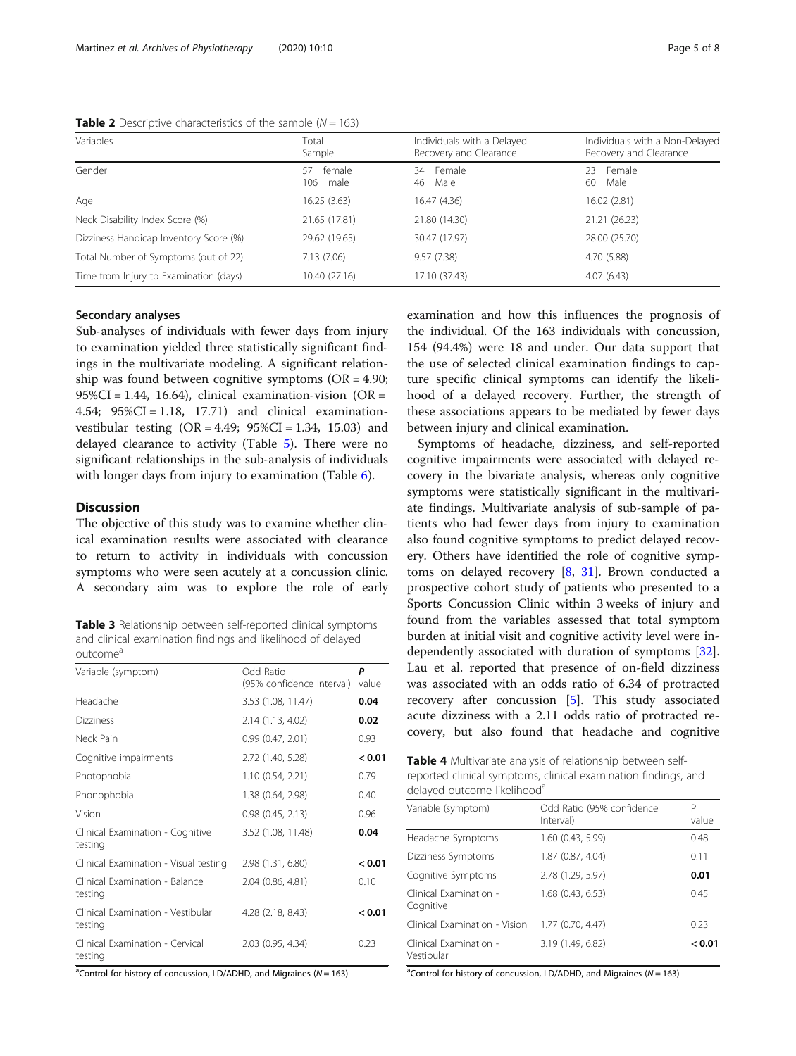| Variables                              | Total<br>Sample               | Individuals with a Delayed<br>Recovery and Clearance | Individuals with a Non-Delayed<br>Recovery and Clearance |
|----------------------------------------|-------------------------------|------------------------------------------------------|----------------------------------------------------------|
| Gender                                 | $57 =$ female<br>$106$ = male | $34$ = Female<br>$46 =$ Male                         | $23$ = Female<br>$60 =$ Male                             |
| Age                                    | 16.25 (3.63)                  | 16.47 (4.36)                                         | 16.02 (2.81)                                             |
| Neck Disability Index Score (%)        | 21.65 (17.81)                 | 21.80 (14.30)                                        | 21.21 (26.23)                                            |
| Dizziness Handicap Inventory Score (%) | 29.62 (19.65)                 | 30.47 (17.97)                                        | 28.00 (25.70)                                            |
| Total Number of Symptoms (out of 22)   | 7.13 (7.06)                   | 9.57(7.38)                                           | 4.70 (5.88)                                              |
| Time from Injury to Examination (days) | 10.40 (27.16)                 | 17.10 (37.43)                                        | 4.07(6.43)                                               |

<span id="page-4-0"></span>**Table 2** Descriptive characteristics of the sample ( $N = 163$ )

# Secondary analyses

Sub-analyses of individuals with fewer days from injury to examination yielded three statistically significant findings in the multivariate modeling. A significant relationship was found between cognitive symptoms ( $OR = 4.90$ ;  $95\%CI = 1.44$ , 16.64), clinical examination-vision (OR = 4.54;  $95\%CI = 1.18$ , 17.71) and clinical examinationvestibular testing  $(OR = 4.49; 95\% CI = 1.34, 15.03)$  and delayed clearance to activity (Table [5](#page-5-0)). There were no significant relationships in the sub-analysis of individuals with longer days from injury to examination (Table [6](#page-5-0)).

#### **Discussion**

The objective of this study was to examine whether clinical examination results were associated with clearance to return to activity in individuals with concussion symptoms who were seen acutely at a concussion clinic. A secondary aim was to explore the role of early

Table 3 Relationship between self-reported clinical symptoms and clinical examination findings and likelihood of delayed outcome<sup>a</sup>

| Variable (symptom)                           | Odd Ratio<br>(95% confidence Interval) | P<br>value |
|----------------------------------------------|----------------------------------------|------------|
| Headache                                     | 3.53 (1.08, 11.47)                     | 0.04       |
| <b>Dizziness</b>                             | 2.14 (1.13, 4.02)                      | 0.02       |
| Neck Pain                                    | 0.99(0.47, 2.01)                       | 0.93       |
| Cognitive impairments                        | 2.72 (1.40, 5.28)                      | < 0.01     |
| Photophobia                                  | 1.10(0.54, 2.21)                       | 0.79       |
| Phonophobia                                  | 1.38 (0.64, 2.98)                      | 0.40       |
| Vision                                       | $0.98$ $(0.45, 2.13)$                  | 0.96       |
| Clinical Examination - Cognitive<br>testing  | 3.52 (1.08, 11.48)                     | 0.04       |
| Clinical Examination - Visual testing        | 2.98 (1.31, 6.80)                      | < 0.01     |
| Clinical Examination - Balance<br>testing    | 2.04 (0.86, 4.81)                      | 0.10       |
| Clinical Examination - Vestibular<br>testing | 4.28 (2.18, 8.43)                      | < 0.01     |
| Clinical Examination - Cervical<br>testing   | $2.03$ (0.95, 4.34)                    | 0.23       |

<sup>a</sup>Control for history of concussion, LD/ADHD, and Migraines ( $N = 163$ )

examination and how this influences the prognosis of the individual. Of the 163 individuals with concussion, 154 (94.4%) were 18 and under. Our data support that the use of selected clinical examination findings to capture specific clinical symptoms can identify the likelihood of a delayed recovery. Further, the strength of these associations appears to be mediated by fewer days between injury and clinical examination.

Symptoms of headache, dizziness, and self-reported cognitive impairments were associated with delayed recovery in the bivariate analysis, whereas only cognitive symptoms were statistically significant in the multivariate findings. Multivariate analysis of sub-sample of patients who had fewer days from injury to examination also found cognitive symptoms to predict delayed recovery. Others have identified the role of cognitive symptoms on delayed recovery  $[8, 31]$  $[8, 31]$  $[8, 31]$ . Brown conducted a prospective cohort study of patients who presented to a Sports Concussion Clinic within 3 weeks of injury and found from the variables assessed that total symptom burden at initial visit and cognitive activity level were independently associated with duration of symptoms [\[32](#page-7-0)]. Lau et al. reported that presence of on-field dizziness was associated with an odds ratio of 6.34 of protracted recovery after concussion [[5\]](#page-6-0). This study associated acute dizziness with a 2.11 odds ratio of protracted recovery, but also found that headache and cognitive

Table 4 Multivariate analysis of relationship between selfreported clinical symptoms, clinical examination findings, and delayed outcome likelihood<sup>a</sup>

| Variable (symptom)                   | Odd Ratio (95% confidence<br>Interval) | Р<br>value |
|--------------------------------------|----------------------------------------|------------|
| Headache Symptoms                    | 1.60 (0.43, 5.99)                      | 0.48       |
| Dizziness Symptoms                   | 1.87 (0.87, 4.04)                      | 0.11       |
| Cognitive Symptoms                   | 2.78 (1.29, 5.97)                      | 0.01       |
| Clinical Examination -<br>Cognitive  | 1.68 (0.43, 6.53)                      | 0.45       |
| Clinical Examination - Vision        | 1.77 (0.70, 4.47)                      | 0.23       |
| Clinical Examination -<br>Vestibular | 3.19 (1.49, 6.82)                      | < 0.01     |

<sup>a</sup> Control for history of concussion, LD/ADHD, and Migraines ( $N = 163$ )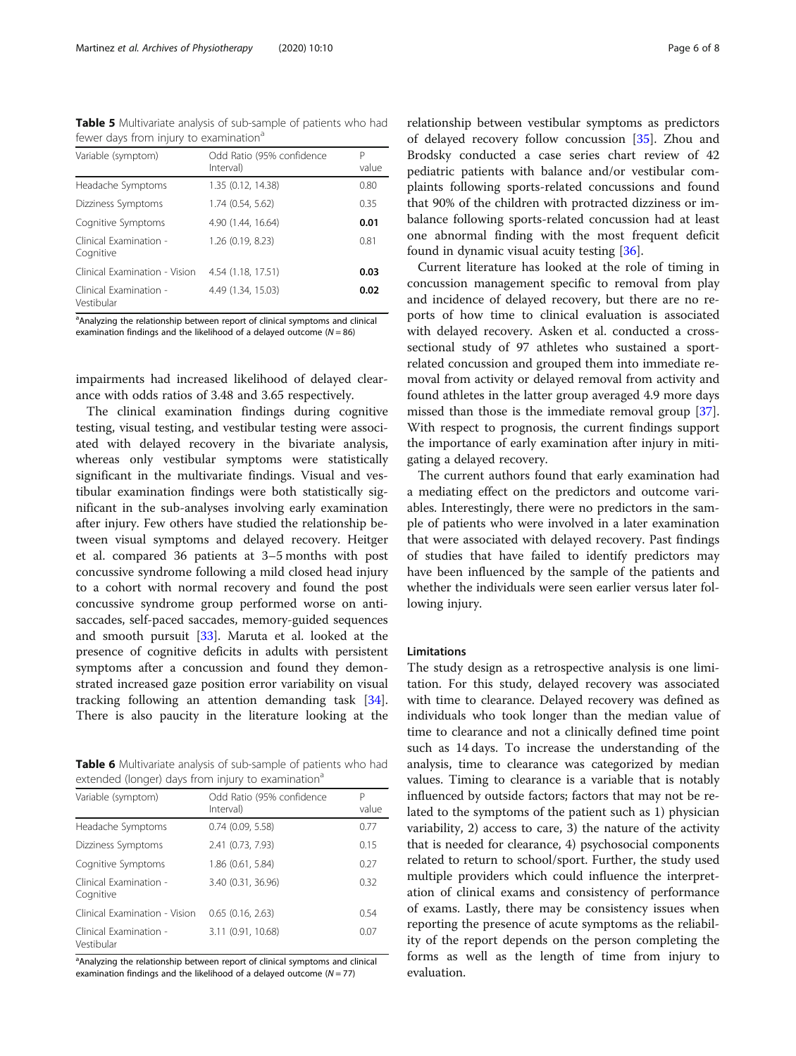<span id="page-5-0"></span>Table 5 Multivariate analysis of sub-sample of patients who had fewer days from injury to examination<sup>a</sup>

| Variable (symptom)                   | Odd Ratio (95% confidence<br>Interval) | P<br>value |
|--------------------------------------|----------------------------------------|------------|
| Headache Symptoms                    | 1.35 (0.12, 14.38)                     | 0.80       |
| Dizziness Symptoms                   | 1.74 (0.54, 5.62)                      | 0.35       |
| Cognitive Symptoms                   | 4.90 (1.44, 16.64)                     | 0.01       |
| Clinical Examination -<br>Cognitive  | 1.26 (0.19, 8.23)                      | 0.81       |
| Clinical Examination - Vision        | 4.54 (1.18, 17.51)                     | 0.03       |
| Clinical Examination -<br>Vestibular | 4.49 (1.34, 15.03)                     | 0.02       |

<sup>a</sup>Analyzing the relationship between report of clinical symptoms and clinical examination findings and the likelihood of a delayed outcome  $(N = 86)$ 

impairments had increased likelihood of delayed clearance with odds ratios of 3.48 and 3.65 respectively.

The clinical examination findings during cognitive testing, visual testing, and vestibular testing were associated with delayed recovery in the bivariate analysis, whereas only vestibular symptoms were statistically significant in the multivariate findings. Visual and vestibular examination findings were both statistically significant in the sub-analyses involving early examination after injury. Few others have studied the relationship between visual symptoms and delayed recovery. Heitger et al. compared 36 patients at 3–5 months with post concussive syndrome following a mild closed head injury to a cohort with normal recovery and found the post concussive syndrome group performed worse on antisaccades, self-paced saccades, memory-guided sequences and smooth pursuit [\[33\]](#page-7-0). Maruta et al. looked at the presence of cognitive deficits in adults with persistent symptoms after a concussion and found they demonstrated increased gaze position error variability on visual tracking following an attention demanding task [\[34](#page-7-0)]. There is also paucity in the literature looking at the

Table 6 Multivariate analysis of sub-sample of patients who had extended (longer) days from injury to examination<sup>a</sup>

| Variable (symptom)                   | Odd Ratio (95% confidence<br>Interval) | P<br>value |
|--------------------------------------|----------------------------------------|------------|
| Headache Symptoms                    | 0.74(0.09, 5.58)                       | 0.77       |
| Dizziness Symptoms                   | 2.41 (0.73, 7.93)                      | 0.15       |
| Cognitive Symptoms                   | 1.86 (0.61, 5.84)                      | 0.27       |
| Clinical Examination -<br>Cognitive  | 3.40 (0.31, 36.96)                     | 0.32       |
| Clinical Examination - Vision        | 0.65(0.16, 2.63)                       | 0.54       |
| Clinical Examination -<br>Vestibular | 3.11 (0.91, 10.68)                     | 0.07       |

<sup>a</sup>Analyzing the relationship between report of clinical symptoms and clinical examination findings and the likelihood of a delayed outcome ( $N = 77$ )

relationship between vestibular symptoms as predictors of delayed recovery follow concussion [[35](#page-7-0)]. Zhou and Brodsky conducted a case series chart review of 42 pediatric patients with balance and/or vestibular complaints following sports-related concussions and found that 90% of the children with protracted dizziness or imbalance following sports-related concussion had at least one abnormal finding with the most frequent deficit found in dynamic visual acuity testing [[36](#page-7-0)].

Current literature has looked at the role of timing in concussion management specific to removal from play and incidence of delayed recovery, but there are no reports of how time to clinical evaluation is associated with delayed recovery. Asken et al. conducted a crosssectional study of 97 athletes who sustained a sportrelated concussion and grouped them into immediate removal from activity or delayed removal from activity and found athletes in the latter group averaged 4.9 more days missed than those is the immediate removal group [\[37](#page-7-0)]. With respect to prognosis, the current findings support the importance of early examination after injury in mitigating a delayed recovery.

The current authors found that early examination had a mediating effect on the predictors and outcome variables. Interestingly, there were no predictors in the sample of patients who were involved in a later examination that were associated with delayed recovery. Past findings of studies that have failed to identify predictors may have been influenced by the sample of the patients and whether the individuals were seen earlier versus later following injury.

#### **Limitations**

The study design as a retrospective analysis is one limitation. For this study, delayed recovery was associated with time to clearance. Delayed recovery was defined as individuals who took longer than the median value of time to clearance and not a clinically defined time point such as 14 days. To increase the understanding of the analysis, time to clearance was categorized by median values. Timing to clearance is a variable that is notably influenced by outside factors; factors that may not be related to the symptoms of the patient such as 1) physician variability, 2) access to care, 3) the nature of the activity that is needed for clearance, 4) psychosocial components related to return to school/sport. Further, the study used multiple providers which could influence the interpretation of clinical exams and consistency of performance of exams. Lastly, there may be consistency issues when reporting the presence of acute symptoms as the reliability of the report depends on the person completing the forms as well as the length of time from injury to evaluation.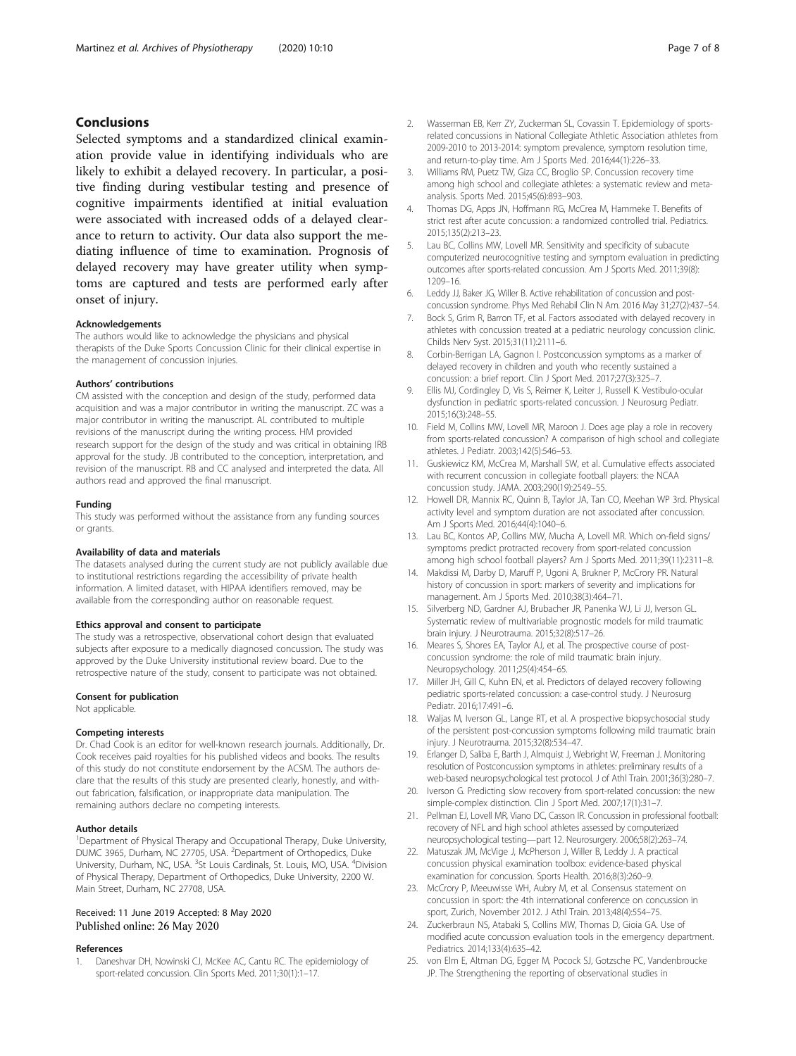# <span id="page-6-0"></span>Conclusions

Selected symptoms and a standardized clinical examination provide value in identifying individuals who are likely to exhibit a delayed recovery. In particular, a positive finding during vestibular testing and presence of cognitive impairments identified at initial evaluation were associated with increased odds of a delayed clearance to return to activity. Our data also support the mediating influence of time to examination. Prognosis of delayed recovery may have greater utility when symptoms are captured and tests are performed early after onset of injury.

#### Acknowledgements

The authors would like to acknowledge the physicians and physical therapists of the Duke Sports Concussion Clinic for their clinical expertise in the management of concussion injuries.

# Authors' contributions

CM assisted with the conception and design of the study, performed data acquisition and was a major contributor in writing the manuscript. ZC was a major contributor in writing the manuscript. AL contributed to multiple revisions of the manuscript during the writing process. HM provided research support for the design of the study and was critical in obtaining IRB approval for the study. JB contributed to the conception, interpretation, and revision of the manuscript. RB and CC analysed and interpreted the data. All authors read and approved the final manuscript.

#### Funding

This study was performed without the assistance from any funding sources or grants.

#### Availability of data and materials

The datasets analysed during the current study are not publicly available due to institutional restrictions regarding the accessibility of private health information. A limited dataset, with HIPAA identifiers removed, may be available from the corresponding author on reasonable request.

#### Ethics approval and consent to participate

The study was a retrospective, observational cohort design that evaluated subjects after exposure to a medically diagnosed concussion. The study was approved by the Duke University institutional review board. Due to the retrospective nature of the study, consent to participate was not obtained.

#### Consent for publication

Not applicable.

#### Competing interests

Dr. Chad Cook is an editor for well-known research journals. Additionally, Dr. Cook receives paid royalties for his published videos and books. The results of this study do not constitute endorsement by the ACSM. The authors declare that the results of this study are presented clearly, honestly, and without fabrication, falsification, or inappropriate data manipulation. The remaining authors declare no competing interests.

#### Author details

<sup>1</sup>Department of Physical Therapy and Occupational Therapy, Duke University, DUMC 3965, Durham, NC 27705, USA. <sup>2</sup>Department of Orthopedics, Duke University, Durham, NC, USA. <sup>3</sup>St Louis Cardinals, St. Louis, MO, USA. <sup>4</sup>Division of Physical Therapy, Department of Orthopedics, Duke University, 2200 W. Main Street, Durham, NC 27708, USA.

#### Received: 11 June 2019 Accepted: 8 May 2020 Published online: 26 May 2020

#### References

1. Daneshvar DH, Nowinski CJ, McKee AC, Cantu RC. The epidemiology of sport-related concussion. Clin Sports Med. 2011;30(1):1–17.

- 2. Wasserman EB, Kerr ZY, Zuckerman SL, Covassin T. Epidemiology of sportsrelated concussions in National Collegiate Athletic Association athletes from 2009-2010 to 2013-2014: symptom prevalence, symptom resolution time, and return-to-play time. Am J Sports Med. 2016;44(1):226–33.
- 3. Williams RM, Puetz TW, Giza CC, Broglio SP. Concussion recovery time among high school and collegiate athletes: a systematic review and metaanalysis. Sports Med. 2015;45(6):893–903.
- 4. Thomas DG, Apps JN, Hoffmann RG, McCrea M, Hammeke T. Benefits of strict rest after acute concussion: a randomized controlled trial. Pediatrics. 2015;135(2):213–23.
- 5. Lau BC, Collins MW, Lovell MR. Sensitivity and specificity of subacute computerized neurocognitive testing and symptom evaluation in predicting outcomes after sports-related concussion. Am J Sports Med. 2011;39(8): 1209–16.
- 6. Leddy JJ, Baker JG, Willer B. Active rehabilitation of concussion and postconcussion syndrome. Phys Med Rehabil Clin N Am. 2016 May 31;27(2):437–54.
- 7. Bock S, Grim R, Barron TF, et al. Factors associated with delayed recovery in athletes with concussion treated at a pediatric neurology concussion clinic. Childs Nerv Syst. 2015;31(11):2111–6.
- 8. Corbin-Berrigan LA, Gagnon I. Postconcussion symptoms as a marker of delayed recovery in children and youth who recently sustained a concussion: a brief report. Clin J Sport Med. 2017;27(3):325–7.
- 9. Ellis MJ, Cordingley D, Vis S, Reimer K, Leiter J, Russell K. Vestibulo-ocular dysfunction in pediatric sports-related concussion. J Neurosurg Pediatr. 2015;16(3):248–55.
- 10. Field M, Collins MW, Lovell MR, Maroon J. Does age play a role in recovery from sports-related concussion? A comparison of high school and collegiate athletes. J Pediatr. 2003;142(5):546–53.
- 11. Guskiewicz KM, McCrea M, Marshall SW, et al. Cumulative effects associated with recurrent concussion in collegiate football players: the NCAA concussion study. JAMA. 2003;290(19):2549–55.
- 12. Howell DR, Mannix RC, Quinn B, Taylor JA, Tan CO, Meehan WP 3rd. Physical activity level and symptom duration are not associated after concussion. Am J Sports Med. 2016;44(4):1040–6.
- 13. Lau BC, Kontos AP, Collins MW, Mucha A, Lovell MR. Which on-field signs/ symptoms predict protracted recovery from sport-related concussion among high school football players? Am J Sports Med. 2011;39(11):2311–8.
- 14. Makdissi M, Darby D, Maruff P, Ugoni A, Brukner P, McCrory PR. Natural history of concussion in sport: markers of severity and implications for management. Am J Sports Med. 2010;38(3):464–71.
- 15. Silverberg ND, Gardner AJ, Brubacher JR, Panenka WJ, Li JJ, Iverson GL. Systematic review of multivariable prognostic models for mild traumatic brain injury. J Neurotrauma. 2015;32(8):517–26.
- 16. Meares S, Shores EA, Taylor AJ, et al. The prospective course of postconcussion syndrome: the role of mild traumatic brain injury. Neuropsychology. 2011;25(4):454–65.
- 17. Miller JH, Gill C, Kuhn EN, et al. Predictors of delayed recovery following pediatric sports-related concussion: a case-control study. J Neurosurg Pediatr. 2016;17:491–6.
- 18. Waljas M, Iverson GL, Lange RT, et al. A prospective biopsychosocial study of the persistent post-concussion symptoms following mild traumatic brain injury. J Neurotrauma. 2015;32(8):534–47.
- 19. Erlanger D, Saliba E, Barth J, Almquist J, Webright W, Freeman J. Monitoring resolution of Postconcussion symptoms in athletes: preliminary results of a web-based neuropsychological test protocol. J of Athl Train. 2001;36(3):280–7.
- 20. Iverson G. Predicting slow recovery from sport-related concussion: the new simple-complex distinction. Clin J Sport Med. 2007;17(1):31–7.
- 21. Pellman EJ, Lovell MR, Viano DC, Casson IR. Concussion in professional football: recovery of NFL and high school athletes assessed by computerized neuropsychological testing—part 12. Neurosurgery. 2006;58(2):263–74.
- 22. Matuszak JM, McVige J, McPherson J, Willer B, Leddy J. A practical concussion physical examination toolbox: evidence-based physical examination for concussion. Sports Health. 2016;8(3):260–9.
- 23. McCrory P, Meeuwisse WH, Aubry M, et al. Consensus statement on concussion in sport: the 4th international conference on concussion in sport, Zurich, November 2012. J Athl Train. 2013;48(4):554–75.
- 24. Zuckerbraun NS, Atabaki S, Collins MW, Thomas D, Gioia GA. Use of modified acute concussion evaluation tools in the emergency department. Pediatrics. 2014;133(4):635–42.
- 25. von Elm E, Altman DG, Egger M, Pocock SJ, Gotzsche PC, Vandenbroucke JP. The Strengthening the reporting of observational studies in